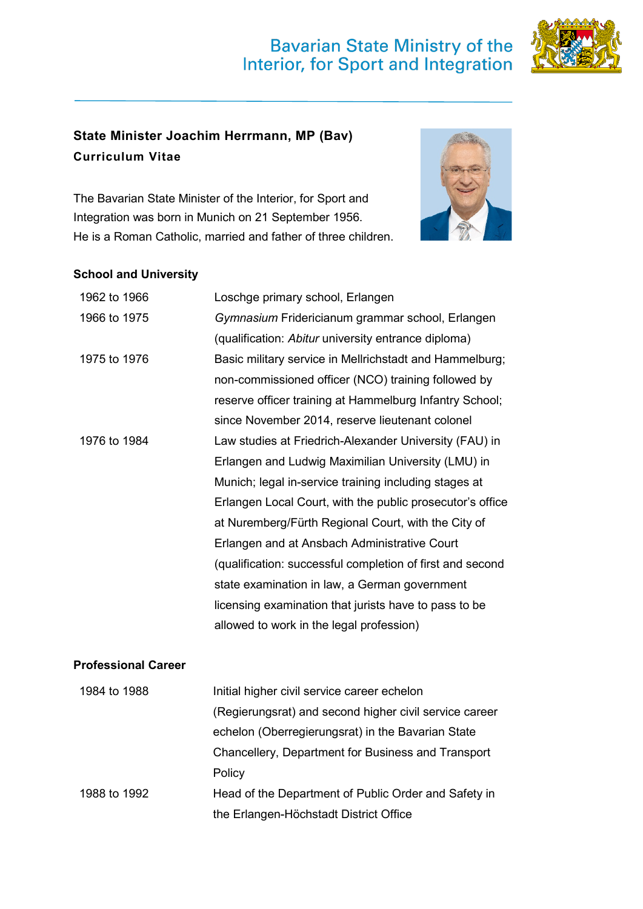## **Bavarian State Ministry of the** Interior, for Sport and Integration



## **State Minister Joachim Herrmann, MP (Bav) Curriculum Vitae**

The Bavarian State Minister of the Interior, for Sport and Integration was born in Munich on 21 September 1956. He is a Roman Catholic, married and father of three children.



## **School and University**

| 1962 to 1966               | Loschge primary school, Erlangen                          |
|----------------------------|-----------------------------------------------------------|
| 1966 to 1975               | Gymnasium Fridericianum grammar school, Erlangen          |
|                            | (qualification: Abitur university entrance diploma)       |
| 1975 to 1976               | Basic military service in Mellrichstadt and Hammelburg;   |
|                            | non-commissioned officer (NCO) training followed by       |
|                            | reserve officer training at Hammelburg Infantry School;   |
|                            | since November 2014, reserve lieutenant colonel           |
| 1976 to 1984               | Law studies at Friedrich-Alexander University (FAU) in    |
|                            | Erlangen and Ludwig Maximilian University (LMU) in        |
|                            | Munich; legal in-service training including stages at     |
|                            | Erlangen Local Court, with the public prosecutor's office |
|                            | at Nuremberg/Fürth Regional Court, with the City of       |
|                            | Erlangen and at Ansbach Administrative Court              |
|                            | (qualification: successful completion of first and second |
|                            | state examination in law, a German government             |
|                            | licensing examination that jurists have to pass to be     |
|                            | allowed to work in the legal profession)                  |
|                            |                                                           |
| <b>Professional Career</b> |                                                           |
| 1984 to 1988               | Initial higher civil service career echelon               |
|                            | (Regierungsrat) and second higher civil service career    |

echelon (Oberregierungsrat) in the Bavarian State Chancellery, Department for Business and Transport **Policy** 1988 to 1992 Head of the Department of Public Order and Safety in the Erlangen-Höchstadt District Office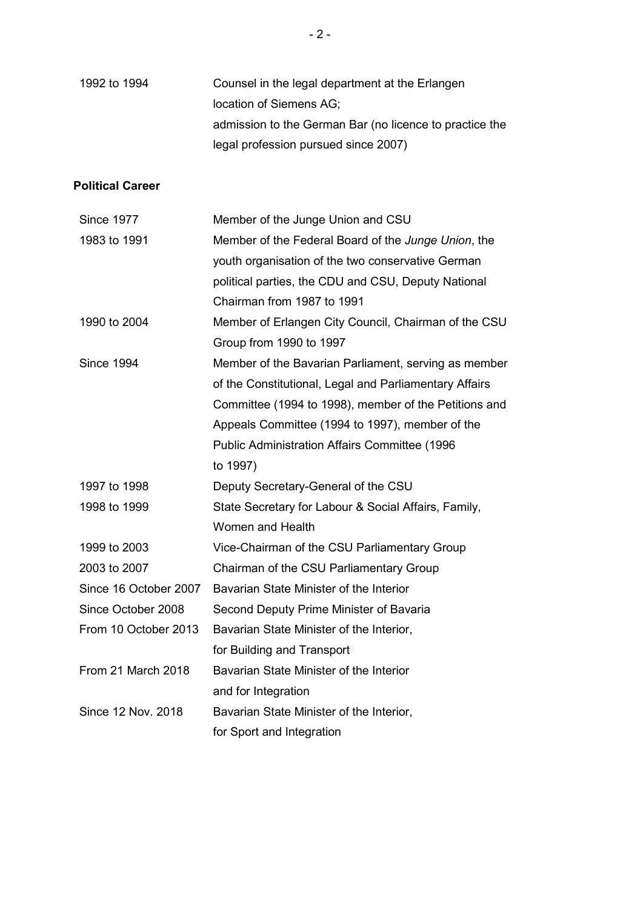| 1992 to 1994                                                                                                                                    | Counsel in the legal department at the Erlangen<br>location of Siemens AG;<br>admission to the German Bar (no licence to practice the<br>legal profession pursued since 2007)                                                                                                                                                                                                                      |
|-------------------------------------------------------------------------------------------------------------------------------------------------|----------------------------------------------------------------------------------------------------------------------------------------------------------------------------------------------------------------------------------------------------------------------------------------------------------------------------------------------------------------------------------------------------|
| <b>Political Career</b>                                                                                                                         |                                                                                                                                                                                                                                                                                                                                                                                                    |
| <b>Since 1977</b><br>1983 to 1991                                                                                                               | Member of the Junge Union and CSU<br>Member of the Federal Board of the Junge Union, the<br>youth organisation of the two conservative German<br>political parties, the CDU and CSU, Deputy National<br>Chairman from 1987 to 1991                                                                                                                                                                 |
| 1990 to 2004                                                                                                                                    | Member of Erlangen City Council, Chairman of the CSU<br>Group from 1990 to 1997                                                                                                                                                                                                                                                                                                                    |
| <b>Since 1994</b>                                                                                                                               | Member of the Bavarian Parliament, serving as member<br>of the Constitutional, Legal and Parliamentary Affairs<br>Committee (1994 to 1998), member of the Petitions and<br>Appeals Committee (1994 to 1997), member of the<br><b>Public Administration Affairs Committee (1996</b><br>to 1997)                                                                                                     |
| 1997 to 1998                                                                                                                                    | Deputy Secretary-General of the CSU                                                                                                                                                                                                                                                                                                                                                                |
| 1998 to 1999                                                                                                                                    | State Secretary for Labour & Social Affairs, Family,<br><b>Women and Health</b>                                                                                                                                                                                                                                                                                                                    |
| 1999 to 2003<br>2003 to 2007<br>Since 16 October 2007<br>Since October 2008<br>From 10 October 2013<br>From 21 March 2018<br>Since 12 Nov. 2018 | Vice-Chairman of the CSU Parliamentary Group<br>Chairman of the CSU Parliamentary Group<br>Bavarian State Minister of the Interior<br>Second Deputy Prime Minister of Bavaria<br>Bavarian State Minister of the Interior,<br>for Building and Transport<br>Bavarian State Minister of the Interior<br>and for Integration<br>Bavarian State Minister of the Interior,<br>for Sport and Integration |
|                                                                                                                                                 |                                                                                                                                                                                                                                                                                                                                                                                                    |